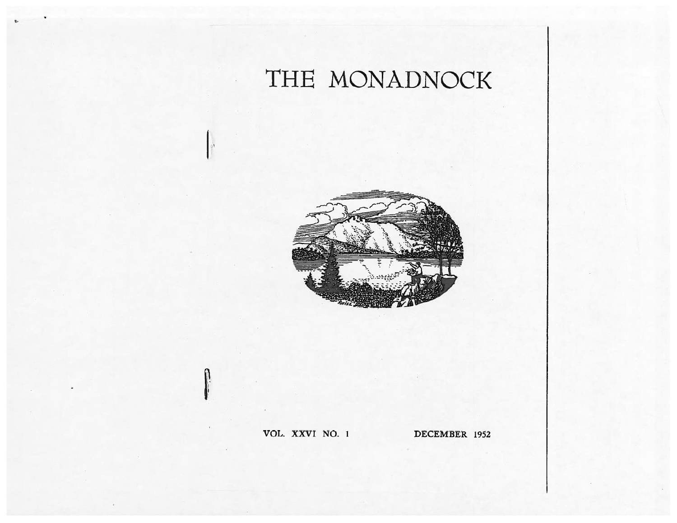# THE MONADNOC



# OL. XXVI NO.

DECEMBER 1952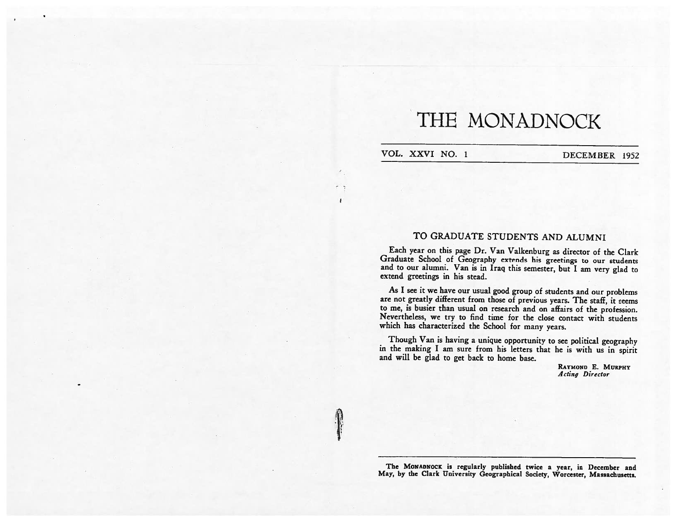# THE MONADNOCK

VOL. XXVI NO. 1 DECEMBER 1952

 $\overline{1}$ 

# TO GRADUATE STUDENTS AND ALUMNI

Each year on this page Dr. Van Valkenburg as director of the Clark Graduate School of Geography extends his greetings to our students and to our alumni. Van is in Iraq this semester, but <sup>1</sup> am very <sup>g</sup>lad to extend greetings in his stead.

As <sup>I</sup> see it we have our usual good group of students and our problems are not greatly different from those of previous years. The staff, it seems to me, is busier than usual on research and on affairs of the profession. Nevertheless, we try to find time for the close contact with students which has characterized the School for many years.

Though Van is having <sup>a</sup> unique opportunity to see political geography in the making <sup>I</sup> am sure from his letters that he is with us in spirit and will be glad to get back to home base.

> RAYMOND E. MURPHY 4 cling Director

The MONADN0CK is regularly published twice <sup>a</sup> year, in December and May, by the Clark University Geographical Society, Worcester, Massachusetts.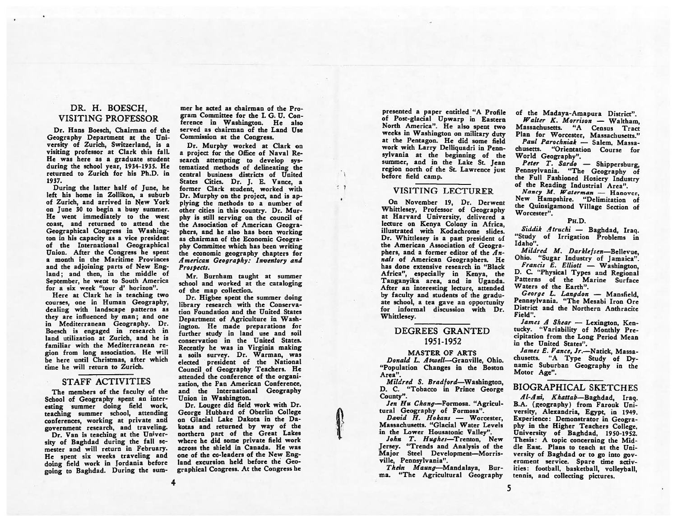# DR. H. BOESCH, VISITiNG PROFESSOR

Dr. Hans Boesch, Chairman of the Geography Department at the Uni versity of Zurich, Switzerland, is <sup>a</sup> visiting professor at Clark this fall. He was here as <sup>a</sup> graduate student during the school year, 1934-1935. He returned to Zurich for his Ph.D. in 1937.

During the latter half of June, he left his home in Zollikon, <sup>a</sup> suburb of Zurich, and arrived in New York on June 30 to begin <sup>a</sup> busy summer. He went immediately to the west coast, and returned to attend the Geographical Congress in Washing ton in his capacity as <sup>a</sup> vice president of the International Geographical Union. After the Congress he spent <sup>a</sup> month in the Maritime Provinces and the adjoining parts of New England; and then, in the middle of September, he went to South America for <sup>a</sup> six week "tour d' horizon".

Here at Clark he is teaching two courses, one in Human Geography, dealing with landscape patterns as they are influenced by man; and one in Mediterranean Geography. Dr. Boesch is engaged in research in land utilization at Zurich, and he is familiar with the Mediterranean re <sup>g</sup>ion from long association. He will he here until Christmas, after which time he will return to Zurich.

## STAFF ACTIVITIES

The members of the faculty of the School of Geography spent an inter esting summer doing field work, teaching summer school, attending conferences, working at private and government research, and traveling.

Dr. Van is teaching at the Univer sity of Baghdad during the fall se mester and will return in February. He spent six weeks traveling and doing field work in jordania before going to Baghdad. During the sum-

mer he acted as chairman of the Pro gram Committee for the I. G. U. Con ference in Washington. He also served as chairman of the Land Use Commission at the Congress.

Dr. Murphy worked at Clark on <sup>a</sup> project for the Office of Naval Re search attempting to develop systematized methods of delineating the central business districts of United States Cities. Dr. J. E. Vance, a former Clark student, worked with Dr. Murphy on the project, and is ap plying the methods to <sup>a</sup> number of other cities in this country. Dr. Mur phy is still serving on the council of the Association of American Geogra phers, and he also has been working as chairman of the Economic Geogra phy Committee which has been writing the economic geography chapters for American Geography: Inventory and Prospects.

Mr. Burnham taught at summer school and worked at the cataloging of the map collection.

Dr. Higbee spent the summer doing library research with the Conserva tion Foundation and the United States Department of Agriculture in Wash ington. He made preparations for further study in land use and soil conservation in the United States. Recently he was in Virginia making <sup>a</sup> soils survey. Dr. Warman, was elected president of the National Council of Geography Teachers. He attended the conference of the organi zation, the Pan American Conference, and the International Geography Union in Washington.

Dr. Lougee did field work with Dr. George Hubbard of Oberlin College on Glacial Lake Dakota in the Da kotas and returned by way of the northern part of the Great Lakes where he did some private field work across the shield in Canada. He was one of the co-leaders of the New Eng land excursion held before the Geographical Congress. At the Congress he

 $\leq 1$ 

presented <sup>a</sup> paper entitled "A Profile of Post-glacial Upwarp in Eastern North America". He also spent two weeks in Washington on military duty at the Pentagon. He did some field work with Larry Delliquadri in Penn sylvania at the beginning of the summer, and in the Lake St. Jean region north of the St. Lawrence just before field camp.

# VISITING LECTURER

On November 19, Dr. Derwent Whittlesey, Professor of Geography at Harvard University, delivered <sup>a</sup> lecture on Kenya Colony in Africa, illustrated with Kodachrome slides. Dr. Whittlesey is <sup>a</sup> past president of the American Association of Geogra phers, and a former editor of the  $An$ nals of American Geographers. He has done extensive research in "Black Africa", especially in Kenya, the Tanganyika area, and in Uganda. After an interesting lecture, attended by faculty and students of the gradu ate school, <sup>a</sup> tea gave an opportunity for informal discussion with Dr. Whittlesey.

# DEGREES GRANTED 1951-1952

#### MASTER OF ARTS

Donald L. Atwell-Granville, Ohio. "Population Changes in the Boston Area".

Mildred S. Bradford—Washington, D. C. "Tobacco in Prince George County".

Jen Hu Chang-Formosa. "Agricultural Geography of Formosa".

David H. Hokans - Worcester. Massachusetts. "Glacial Water Levels in the Lower Housatonic Valley".

John T. Hughes—Trenton, New Jersey. "Trends and Analysis of the Major Steel Development—Morris ville, Pennsylvania".

Thein Maung-Mandalaya, Burma. "The Agricultural Geography

of the Madaya-Amapura District".

Walter K. Morrison — Waltham, Massachusetts. "A Census Tract Plan for Worcester, Massachusetts." Paul Parochniak — Salem, Massa chusetts. "Orientation Course for World Geography".

eter T. Sardo — Shippersburg, Pennsylvania. "The Geography of the Full Fashioned Hosiery Industry of the Reading Industrial Area".

Nancy M. Waterman — Hanover, New Hampshire. "Delimitation of the Quinsigamond Village Section of Worcester".

#### PH.D.

'iddik Atruchi — Baghdad, Iraq. "Study of Irrigation Problems in Idaho".

Mildred M. Darklefsen—Bellevue, Ohio. "Sugar Industry of jamaica".

Francis E. Elliott — Washington, D. C. "Physical Types and Regional Patterns of the Marine Surface Waters of the Earth".

George L. Langdon — Mansfield, Pennsylvania. "The Mesabi Iron Ore District and the Northern Anthracite Field".

ames  $A$  Shear  $-$  Lexington, Kentucky. 'Variability of Monthly Pre cipitation from the Long Period Mean in the United States".

James E. Vance, Jr.—Natick, Massa chusetts. "A Type Study of Dy namic Suburban Geography in the Motor Age".

## BIOGRAPHICAL SKETCHES

Al-Ani, Khattab—Baghdad, Iraq. B.A. (geography) from Farouk Uni versity, Alexandria, Egypt, in 1949. Experience: Demonstrator in Geogra <sup>p</sup>hy in the Higher Teachers College, University of Baghdad, 1950-1952. Thesis: <sup>A</sup> topic concerning the Mid dle East. Plans to teach at the Uni versity of Baghdad or to go into government service. Spare time activ ities: football, basketball, volleyball, tennis, and collecting <sup>p</sup>ictures.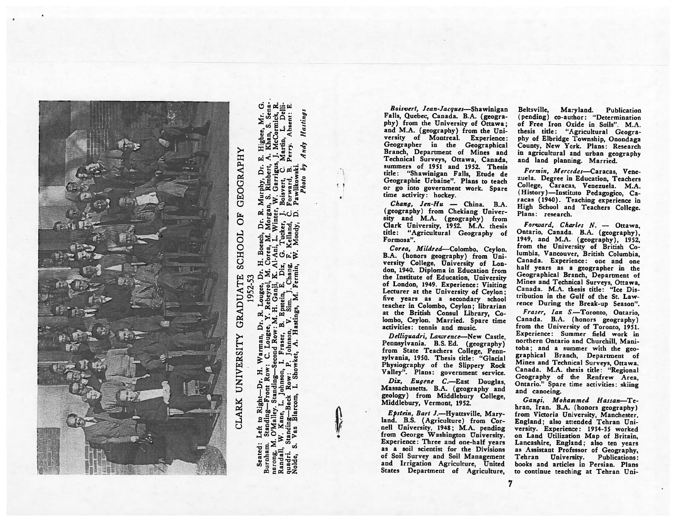

Hasting Andy ò Seated guad<br>Rold

Boisvert, Jean-Jacques—Shawinigan Falls, Quebec, Canada. B.A. (geogra <sup>p</sup>hy) from the University of Ottawa; and MA. (geography) from the Uni versity of Montreal. Experience: Geographer in the Geographical Branch, Department of Mines and Technical Surveys, Ottawa, Canada, summers of 1951 and 1952. Thesis title: "Shawinigan Falls, Etude de Geographic Urbaine". Plans to teach or go into government work. Spare time activity: hockey.

Chang, Jen-Hu — China. B.A. (geography) from Chekiang Univer sity and M.A. (geography) from Clark University, 1952. M.A. thesis title: "Agricultural Geography of Formosa".

Corea, Mildred—Colombo, Ceylon. B.A. (honors geography) from Uni versity College, University of Lon don, 1940. Diploma in Education from the Institute of Education, University of London, 1949. Experience: Visiting Lecturer at the University of Ceylon; five years as a secondary schoo teacher in Colombo, Ceylon; librarian at the British Consul Library, Co lombo, Ceylon. Married. Spare time activities: tennis and music.

Delliquadri, Lawrence—New Castle, Pennsylvania. B.S. Ed. (geography) from State Teachers College, Penn sylvania, 1950. Thesis title: "Glacial Physiography of the Slippery Rock Valley". Plans: government service.

Dix, Eugene C.—East Douglas, Massachusetts. B.A. (geography and geology) from Middlebury College, Middlebury, Vermont, 1952.

Epstein, Bert J.—Hyattsville, Mary land. B.S. (Agriculture) from Cor nell University, 194g; M.A. pending from George Washington University. Experience: Three and one-half years as <sup>a</sup> soil scientist for the Divisions of Soil Survey and Soil Management and Irrigation Agriculture, United States Department of Agriculture,

Beltsville, Maryland. Publication pending) co-author: "Determination of Free Iron Oxide in Soils". M.A. thesis title: "Agricultural Geogra <sup>p</sup>hy of Elhridge Township. Onondaga County, New York. Plans: Research in agricultural and urban geography and land planning. Married.

Fermin, Mercedes-Caracas. Venezuela. Degree in Education, Teachers College, Caracas. Venezuela. M.A. (History)—Instituto Pedagogico, Ca racas (1940). Teaching experience in High School and Teachers College. Plans: research.

Forward, Charles N. - Ottawa Ontario, Canada. B.A. (geography) 1949, and M.A. (geography), 1952, from the University of British Co lumbia. Vancouver, British Columbia, Canada. Experience: one and one half years as <sup>a</sup> geographer in the Geographical Branch, Department of Mines and Technical Surveys, Ottawa, Canada. M.A. thesis title: "Ice Dis tribution in the Gulf of the St. Law rence During the Break-up Season".

Fraser, Ian S—Toronto, Ontario, Canada. B.A. (honors geography) from the University of Toronto, 1951. Experience: Summer field work in northern Ontario and Churchill, Mani toba; and <sup>a</sup> summer with the geo graphical Branch, Department of Mines and Technical Surveys, Ottawa. Canada. M.A. thesis title: "Regional Geography of the Renfrew Area, Ontario." Spare time activities: skiing and canoeing.

Gangi, Mohammed Hassan-Tehran, Iran. B.A. (honors geography) from Victoria University, Manchester, England; also attended Tehran Uni versity. Experience: 1934-35 worked on Land Utilization Map of Britain, Lancashire, England; also ten years as Assistant Professor of Geography, Tehran University. Publications: books and articles in Persian. Plans to continue teaching at Tehran Uni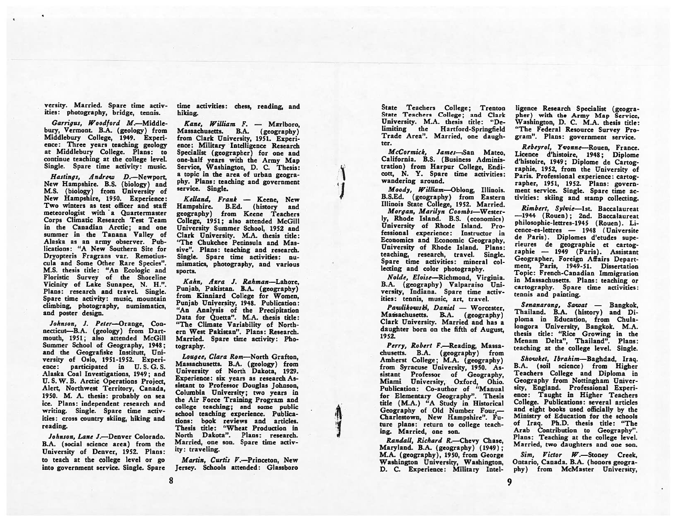versity. Married. Spare time activ ities: <sup>p</sup>hotography, bridge, tennis.

Garrigus, Woodford M.-Middlebury, Vermont. B.A. (geology) from Middlebury College, 1949. Experi ence: Three years teaching geology at Middlebury College. Plans: to continue teaching at the college level. Single. Spare time activity: music.

Hastings, Andrew D.—Newport, New Hampshire. B.S. (biology) and M.S. (biology) from University of New Hampshire, 1950. Experience: Two winters as test officer and staff meteorologist with a Quartermaster Corps Climatic Research Test Team in the Canadian Arctic; and one summer in the Tanana Valley of Alaska as an army observer. Pub lications: "A New Southern Site for Dryopteris Fragrans var. Remotius cula and Some Other Rare Species". M.S. thesis title: "An Ecologic and Floristic Survey of the Shoreline Vicinity of Lake Sunapee, N. H.". Plans: research and travel. Single. Spare time activity: music, mountain climbing, photography, numismatics, and poster design.

Johnson. J. Peter-Orange, Connecticut—B.A. (geology) from Dart mouth, 1951; also attended McGill Summer School of Geography, 1948; and the Geografiske Institutt, Uni versity of Oslo, 1951-1952. Experi ence: participated in U. S. G. S. Alaska Coal Investigations, 1949; and U. S. W. B. Arctic Operations Project, Alert, Northwest Territory, Canada, 1950. M. A. thesis: probably on sea ice. Plans: independent research and writing. Single. Spare time activ ities: cross country skiing, hiking and reading.

Johnson, Lane J.—Denver Colorado. B.A. (social science area) from the University of Denver, 1952. Plans: to teach at the college level or go into government service. Single. Spare time activities: chess, reading, and hiking.

Kane, William F. — Marlboro, Massachusetts. B.A. (geography) from Clark University, 1951. Experi ence: Military Intelligence Research Specialist (geographer) for one and one-half years with the Army Map Service, Washington, D. C. Thesis: <sup>a</sup> topic in the area of urban geogra <sup>p</sup>hy. Plans: teaching and government service. Single.

1

'I

**In case** 

Keliand, Frank — Keene, New Hampshire. B.Ed. (history and geography) from Keene Teachers College, 1951; also attended McGill University Summer School, 1952 and Clark University. M.A. thesis title: "The Chukchee Peninsula and Mas sive". Plans: teaching and research. Single. Spare time activities: nu mismatics, <sup>p</sup>hotography, and various sports.

Kahn, Azra J. Rahman—Lahore, Punjab, Pakistan. B.A. (geography) from Kinniard College for Women, Punjab University, 1948. Publication: "An Analysis of the Precipitation Data for Quetta". M.A. thesis title: "The Climate Variability of North ern West Pakistan". Plans: Research. Married. Spare time activity: Pho tography.

Lougee, Clara Ram—North Grafton, Massachusetts. B.A. (geology) from University of North Dakota, 1929. Experience: six years as research As sistant to Professor Douglas Johnson, Columbia University; two years in the Air Force Training Program and college teaching; and some public school teaching experience. Publica tions: book reviews and articles. Thesis title: "Wheat Production in North Dakota". Plans: research. Married, one son. Spare time activ ity: traveling.

Martin, Curtis V.—Princeton, New Jersey. Schools attended: Glassboro State Teachers College; Trenton State Teachers College; and Clark University. M.A. thesis title: "De limiting the Hartford-Springfield Trade Area". Married, one daugh ter.

McCormick, James—San Mateo, California. B.S. (Business Adminis tration) from Harpur College, Endi cott, N. Y. Spare time activities: wandering around.

Moody, William—Oblong, Illinois. B.S.Ed. (geography) from Eastern Illinois State College, 1952. Married.

Morgan, Marilyn Coombs—Wester ly, Rhode Island. B.S. (economics) University of Rhode Island. Pro fessional experience: Instructor in Economics and Economic Geography, University of Rhode Island. Plans: teaching, research, travel. Single. Spare time activities: mineral col lecting and color <sup>p</sup>hotography.

Nolde, Eloise—Richmond, Virginia. B.A. (geography) Valparaiso Uni versity, Indiana. Spare time activ ities: tennis, music, art, travel.

Pawlikowski, Daniel — Worcester, Massachusetts. B.A. (geography) Clark University. Married and has <sup>a</sup> daughter horn on the fifth of August, 1952.

Perry, Robert F.—Reading, Massa chusetts. B.A. (geography) from Amherst College; M.A. (geography) from Syracuse University, 1950. As sistant Professor of Geography, Miami University, Oxford, Ohio. Publication: Co-author of "Manual for Elementary Geography". Thesis title (M.A.) "A Study in Historical Geography of Old Number Four,— Charlestown, New Hampshire". Fu ture plans: return to college teach ing. Married, one son.

Randall, Richard R.—Chevy Chase, Maryland. B.A. (geography) (1949) M.A. (geography), 1950, from George Washington University, Washington, D. C. Experience: Military Intel-

ligence Research Specialist (geogra<sup>p</sup>her) with the Army Map Service, Washington, D. C. M.A. thesis title: "The Federal Resource Survey Pro gram". Plans: government service.

Rebeyrol, Yvonne—Rouen, France. Licence d'histoire, 1948; Diplome d'histoire, 1949; Diplome de Cartog raphic, 1952, from the University of Paris. Professional experience: cartog rapher, 1951, 1952. Plans: govern ment service. Single. Spare time ac tivities: skiing and stamp collecting.

Rimbert, Sylvie-1st. Baccalaureat —1944 (Rouen) ; 2nd. Baccalaureat philosophie-lettres-1945 (Rouen). Licence-es-lettres — 1948 (Universite de Paris). Diplomes d'etudes supe rieures de geographic er cartog raphic — 1949 (Paris). Assistant Geographer, Foreign Affairs Depart ment, Paris, 1949-51. Dissertation Topic: French-Canadian Immigration in Massachusetts. Plans: teaching or cartography. Spare time activities: tennis and painting.

Senanarong, Sawat — Bangkok, Thailand. B.A. (history) and Diploma in Education, from Chula longora University, Bangkok. M.A. thesis title: "Rice Growing in the Menam Delta", Thailand". Plans: teaching at the college level. Single.

Showket, Ibrahim—Baghdad, Iraq. B.A. (soil science) from Higher Teachers College and Diploma in Geography from Nottingham Univer sity, England. Professional Experi ence: Taught in Higher Teachers College. Publications: several articles and eight books used officially by the Ministry of Education for the schools of Iraq. Ph.D. thesis title: "The Arab Contribution to Geography". Plans: Teaching at the college level. Married, two daughters and one son.

Sim, Victor W.—Stoney Creek, Ontario, Canada. B.A. (honors geogra phy) from McMaster University,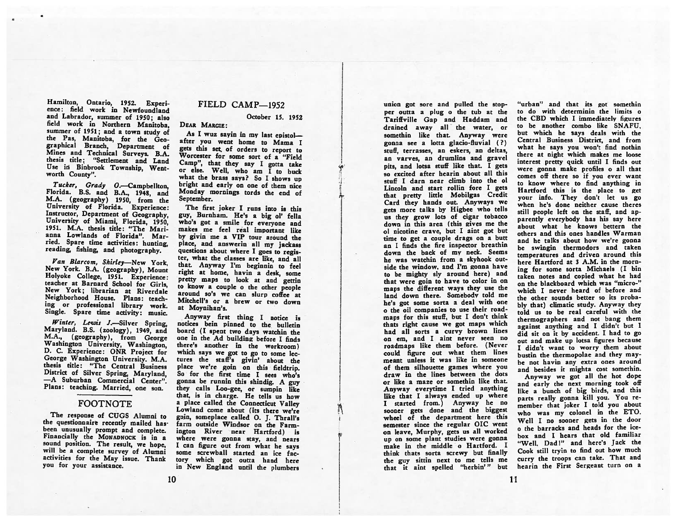#### Hamilton, Ontario, 1952. Experi ence: field work in Newfoundland and Labrador, summer of 1950; also field work in Northern Manitoba, summer of 1951; and <sup>a</sup> town study of the Pas. Manitoba, for the Geographical Branch, Department of Mines and Technical Surveys. B.A. thesis title: "Settlement and Land Use in Binbrook Township, Wentworth County".

Tucker, Grady O.—Campbellton, Florida. B.S. and B.A., 1948, and M.A. (geography) 1950, from the Instructor, Department of Geography, University of Miami, Florida, 1950, 1951. M.A. thesis title: "The Marianna Lowlands of Florida". Married. Spare time activities: hunting. reading, fishing, and photography.

Van Blarcom, Shirley—New York, New York. B.A. (geography), Mount<br>Holyoke College, 1951. Experience: teacher at Barnard School for Girls. New York; librarian at Riverdale Neighborhood House. Plans: teach ing or professional library work. Single. Spare time activity: music.

Winter, Lewis J.-Silver Spring,<br>Maryland. B.S. (zoology), 1949, and<br>M.A., (geography), from George Washington University, Washington, D. C. Experience: ONR Project for George Washington University. M.A. thesis title: "The Central Business District of Silver Spring, Maryland, -A Suburban Commercial Center". Plans: teaching. Married, one son.

## FOOTNOTE

The response of CUGS Alumni to the questionnaire recently mailed hasbeen unusually prompt and complete.<br>Financially the MONADNOCK is in a sound position. The result, we hope, will be a complete survey of Alumni activities for the May issue. Thank you for your assistance.

## FIELD CAMP—1952

October 15. 1952

### DEAR MARGIE:

As I wuz savin in my last epistolafter you went home to Mama I gets this set, of orders to repor<sup>t</sup> to Worcester for some sort of <sup>a</sup> "Field Camp", that they say <sup>I</sup> gotta take or else. Well, who am  $\bar{I}$  to buck what the brass says? So I shows up bright and early on one of them nice Monday mornings tords the end of September.

The first joker <sup>I</sup> runs into is this guy, Burnham, He's <sup>a</sup> big ol' fella who's go<sup>t</sup> <sup>a</sup> smile for everyone and makes me feel real important like by givin me <sup>a</sup> VIP tour around the <sup>p</sup>lace, and answerin all my jackass questions about where <sup>I</sup> goes to regis ter, what the classes are like, and all that. Anyway I'm beginnin to feel right at home, havin a desk, some<br>pretty maps to look at and gettin to know a couple o the other people around so's we can slurp coffee at Mitchell's or <sup>a</sup> brew or two down at Moynihan's.

Anyway first thing <sup>I</sup> notice is notices bein <sup>p</sup>inned to the bulletin board (I spen<sup>t</sup> two days watchin the one in the Ad building before <sup>I</sup> finds which says we got to go to some lectures the staff's <sup>g</sup>ivin' about the place we're goin on this fieldtrip. So for the first time I sees wh gonna be runnin this shindig. <sup>A</sup> guy they calls Loo-gee, or sumpin like that, is in charge. He tells us how <sup>a</sup> <sup>p</sup>lace called the Connecticut Valley Lowland come about (its there we're gain, someplace called 0. J. Thrall's farm outside Windsor on the Farm ington River near Hartford) is where were gonna stay, and nears I can figure out from what he says some screwball started an ice fac tory which go<sup>t</sup> outta hand here in New England until the <sup>p</sup>lumbers

union go<sup>t</sup> sore and pulled the stop per outra <sup>a</sup> plug <sup>o</sup> the tub at the Tariffville Gap and Haddam and drained away all the Water, or somethin like that. Anyway were gonna see <sup>a</sup> lotta <sup>g</sup>lacio-fiuvial (?) stuff, terrasses, an eskers, an deltas, an varves, an drumlins and gravel <sup>p</sup>its, and lotsa stuff like that. <sup>I</sup> gets so excited after hearin about all this stuff I darn near climb into the ol Lincoln and start rollin fore I gets that pretty little Mobilgas Credit Card they hands out. Anyways we gets more talks by Higbee who tells us they grow lots of cigar tobacco down in this area (this gives me the ol nicotine crave, but I aint go<sup>t</sup> but time to ge<sup>t</sup> <sup>a</sup> couple drags on <sup>a</sup> butt an I finds the fire inspector breath down the back of my neck. Seems he was watchin from <sup>a</sup> skvhook out side the window, and I'm gonna have to be mighty sly around here) and that were goin to have to color in on maps the different ways they use the land down there. Somebody told me he's go<sup>t</sup> some sorta <sup>a</sup> deal with one <sup>o</sup> the oil companies to use their roadmaps for this stuff, but <sup>I</sup> don't think thats right cause we go<sup>t</sup> maps which had all sorts <sup>a</sup> curvy brown lines on em, and I aint never seen no roadmaps like them before. (Never could figure out what them lines meant unless it was like in someone of them silhouette games where you draw in the lines between the dots or like <sup>a</sup> maze or somethin like that. Anyway everytime <sup>I</sup> tried anything like that <sup>I</sup> always ended up where I started from.) Anyway he no sooner gets done and the biggest wheel of the department here this semester since the regular OIC went on leave, Murphy, gets us all worked up on some <sup>p</sup>lant studies were gonna make in the middle o Hartford. I think thats sorta screwy but finally the guy sittin next to me tells me that it aint spelled "herbin'" but

"urban" and that its got somethin to do with determinin the limits o the CBD which I immediately figures to be another combo like SNAFU, but which he says deals with the Central Business District, and from what he says you won't find nothin there at night which makes me loose interest pretty quick until I finds out were gonna make profiles <sup>o</sup> all that comes off there so if you ever want to know where to find anything in Hartford this is the place to ge<sup>t</sup> your info. They don't let us go when he's done neither cause theres still people left on the staff, and ap parently everybody has his say here about what he knows bettern the others and this ones handles Warman and he talks about how we're gonna be swingin thermodors and taken temperatures and driven around this here Hartford at 3 A.M. in the morn ing for some sorta Michaels (I bin taken notes and copied what he had on the blackboard which was "micro-" which I never heard of before and the other sounds better so its proba bly that) climatic study. Anyway they told us to be real careful with the thermographers and not bang them against anything and <sup>I</sup> didn't but <sup>I</sup> did sit on it by accident. <sup>I</sup> had to go Out and make up lotsa figures because I didn't want to worry them about bustin the thermopolae and they may be not havin any extra ones around and besides it mighta cost somethin. Anyway we go<sup>t</sup> all the hot dope and early the next morning took off

like <sup>a</sup> bunch of big birds, and this parts really gonna kill you. You re member that joker <sup>I</sup> told you about who was my colonel in the ETO. Well <sup>I</sup> no sooner gets in the door o the barracks and heads for the icebox and I hears that old familiar "Well. Dad!" and here's Jack the Cook still tryin to find out how much curry the troops can take. That and hearin the First Sergeant turn on <sup>a</sup>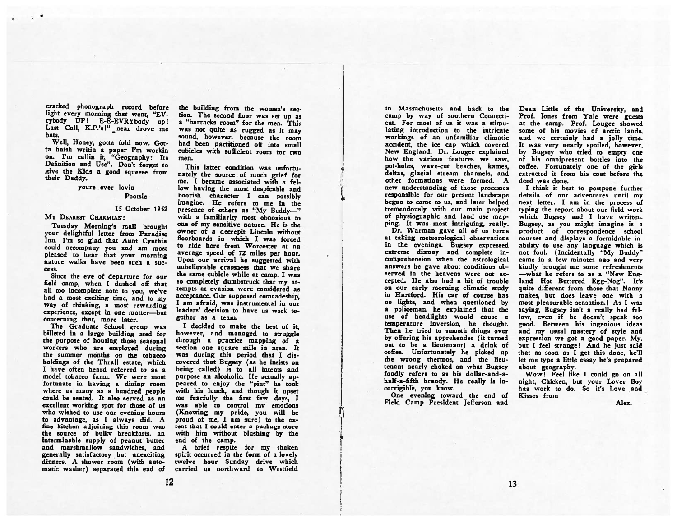cracked <sup>p</sup>honograph record before light every morning that went, "EV-<br>rybody UP! E-E-EVRYbody up! Last Call, K.P.'s!" near drove me bats.

Well, Honey, gotta fold now. Got ta finish writin <sup>a</sup> paper I'm workin on. I'm callin it, "Geography: Its Definition and Use". Don't forget to <sup>g</sup>ive the Kids <sup>a</sup> goo<sup>d</sup> squeese from their Daddy.

> youre ever lovin Pootsie

### 15 October 1952

#### Mv DEAREST CHARMIAN:

Tuesday Morning's mail brought your delightful letter from Paradise Inn. I'm so <sup>g</sup>lad that Aunt Cynthia could accompany you and am most <sup>p</sup>leased to hear that your morning nature walks have been such <sup>a</sup> suc cess.

Since the eve of departure for our field camp, when I dashed off that all too incomplete note to you, we've had <sup>a</sup> most exciting time, and to my way of thinking, <sup>a</sup> most rewarding experience, excep<sup>t</sup> in one matter—but concerning that, more later.

The Graduate School group was billeted in <sup>a</sup> large building used for the purpose of housing those seasonal workers who are employed during the summer months on the tobacco holdings of the Thrall estate, which I have often heard referred to as <sup>a</sup> model tobacco farm. We were most fortunate in having <sup>a</sup> dining room where as many as <sup>a</sup> hundred people could be seated. It also served as an excellent working spo<sup>t</sup> for those of us who wished to use our evening hours to advantage, as <sup>I</sup> always did. A fine kitchen adjoining this room was the source of bulky breakfasts, an interminable supply of peanu<sup>t</sup> butter and marshmallow sandwiches, and generally satisfactory but unexciting dinners. A shower room (with auto matic washer) separated this end of

the building from the women's sec tion. The second floor was set up as <sup>a</sup> "barracks room" for the men. This was not quite as rugge<sup>d</sup> as it may sound, however, because the room had been partitioned off into small cubicles with sufficient room for two men.

This latter condition was unfortu nately the source of much grief for me. I became associated with <sup>a</sup> fel low having the most despicable and<br>boorish character I can possibly imagine. He refers to me in the presence of others as "My Buddy-" with a familiarity most obnoxious to one of my sensitive nature. He is the owner of <sup>a</sup> decrepit Lincoln without floorboards in which I was forced to ride here from Worcester at an average speed of 72 miles per hour. Upon our arrival he suggested with unbelievable crassness that we share the same cubicle while at camp. <sup>I</sup> was so completely dumbstruck that my at tempts at evasion were considered as acceptance. Our supposed comradeship, I am afraid, was instrumental in our leaders' decision to have us work to gether as <sup>a</sup> team.

I decided to make the best of it, however, and managed to struggle through <sup>a</sup> practice mapping of <sup>a</sup> section one square mile in area. It was during this period that <sup>I</sup> dis covered that Bugsey (as he insists on being called) is to all intents and purpose an alcoholic. He actually ap peared to enjoy the "pint" he took with his lunch, and though it upse<sup>t</sup> me fearfully the first few days, <sup>I</sup> was able to control my emotions (Knowing my pride, you will be proud of me, I am sure) to the ex tent that I could enter <sup>a</sup> package store with him without blushing by the end of the camp.

<sup>A</sup> brief respite for my shaken spirit occurred in the form of <sup>a</sup> lovely twelve hour Sunday drive which carried us northward to Westfield

in Massachusetts and back to the camp by way of southern Connecti cut. For most of us it was <sup>a</sup> stimu lating introduction to the intricate workings of an unfamiliar climatic accident, the ice cap which covered New England. Dr. Lougee explained how the various features we saw, pot-holes, wave-cut beaches. kames, deltas, glacial stream channels, and other formations were formed. A new understanding of those processes responsible for our presen<sup>t</sup> landscape began to come to us. and later helped tremendously with our main project of physiographic and land use map <sup>p</sup>ing. It Was most intriguing, really.

Dr. Warman gave all of us turns at taking meteorological observations in the evenings. Bugsey expressed extreme dismay and complete incomprehension when the astrological answers he gave about conditions ob served in the heavens were not ac cepted. He also had <sup>a</sup> bit of trouble on our early morning climatic study in Hartford. His car of course has no lights, and when questioned by <sup>a</sup> policeman, he explained that the use of headlights would cause <sup>a</sup> temperature inversion, he thought. Then he tried to smooth things over by offering his apprehender (it turned out to he <sup>a</sup> lieutenant) <sup>a</sup> drink of coffee. Unfortunately he picked up the wrong thermos, and the lieu tenant nearly choked on what Bugsey fondly refers to as his dollar-and-ahalf-a-fifth brandy. He really is in corrigible, you know.

One evening toward the end of Field Camp President Jefferson and

Dean Little of the University, and Prof. Jones from Yale were guests at the camp. Prof. Lougee showed some of his movies of arctic lands, and we certainly had a jolly time. It was very nearly spoiled, however, by Bugsey who tried to empty one of his omnipresent bottles into the coffee. Fortunately one of the girls extracted it from his coat before the deed was done.

I think it best to postpone further details of our adventures until my next letter. I am in the process of typing the repor<sup>t</sup> about our field work which Bugsey and I have written. Bugsey, as you might imagine is <sup>a</sup> product of correspondence school courses and displays <sup>a</sup> formidable in ability to use any language which is not foul. (Incidentally "Mv Buddy" came in <sup>a</sup> few minutes ago and very kindly brought me some refreshments —what he refers to as <sup>a</sup> "New Eng land Hot Buttered Egg-Nog". It's quite different from those that Nanny makes, but does leave one with <sup>a</sup> most pleasurable sensation.) As I was saying, Bugsey isn't <sup>a</sup> really bad fel low, even if he doesn't speak too good. Between his ingenious ideas and my usual mastery of style and expression we go<sup>t</sup> <sup>a</sup> good paper. My. but I feel strange! And he just said that as soon as I ge<sup>t</sup> this done, he'll let me type <sup>a</sup> little essay he's prepared about geography.

Wow! Feel like I could go on all night. Chicken, but your Lover Boy has work to do. So it's Love and Kisses from

Alex.